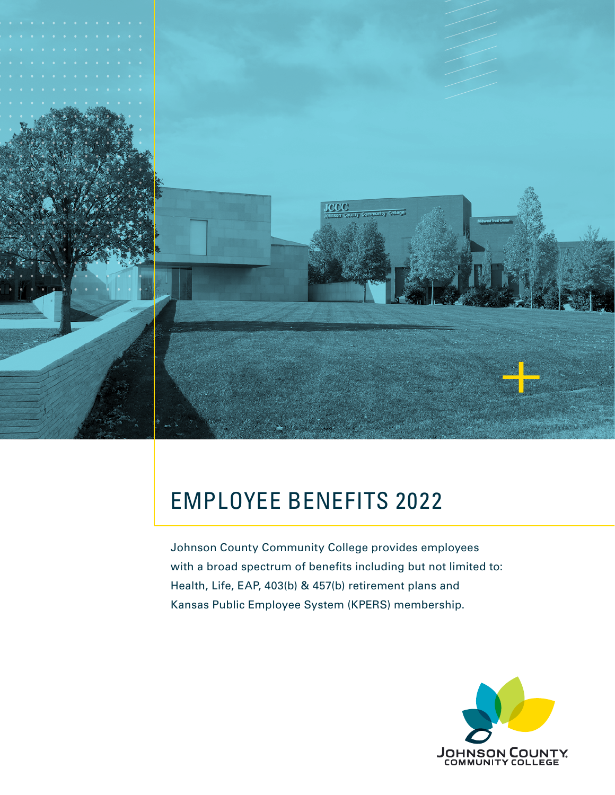

# EMPLOYEE BENEFITS 2022 Employee Benefits 2022

Johnson County Community College provides employees with a broad spectrum of benefits including but not limited to: Health, Life, EAP, 403(b) & 457(b) retirement plans and Kansas Public Employee System (KPERS) membership.

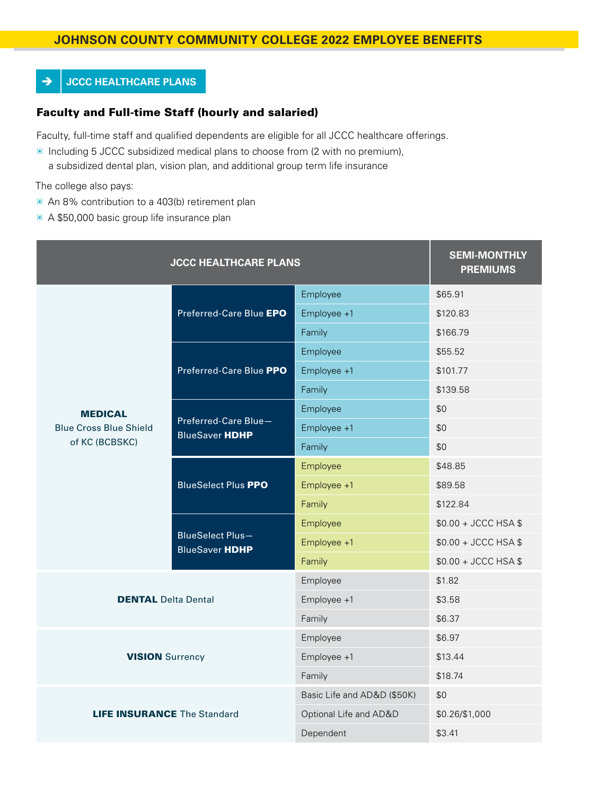# **JOHNSON COUNTY COMMUNITY COLLEGE 2022 EMPLOYEE BENEFITS** Johnson County Community College 2022 Employee Benefits

### **→ JCCC HEALTHCARE PLANS**

#### Faculty and Full-time Staff (hourly and salaried)

Faculty, full-time staff and qualified dependents are eligible for all JCCC healthcare offerings.

▣ Including 5 JCCC subsidized medical plans to choose from (2 with no premium), a subsidized dental plan, vision plan, and additional group term life insurance

The college also pays:

- An 8% contribution to a 403(b) retirement plan
- A \$50,000 basic group life insurance plan

| <b>JCCC HEALTHCARE PLANS</b>                    | <b>SEMI-MONTHLY</b><br><b>PREMIUMS</b>           |                             |                      |
|-------------------------------------------------|--------------------------------------------------|-----------------------------|----------------------|
|                                                 | Preferred-Care Blue EPO                          | Employee                    | \$65.91              |
|                                                 |                                                  | Employee +1                 | \$120.83             |
|                                                 |                                                  | Family                      | \$166.79             |
|                                                 | Preferred-Care Blue PPO                          | Employee                    | \$55.52              |
|                                                 |                                                  | Employee +1                 | \$101.77             |
|                                                 |                                                  | Family                      | \$139.58             |
| <b>MEDICAL</b>                                  | Preferred-Care Blue-<br><b>BlueSaver HDHP</b>    | Employee                    | \$0                  |
| <b>Blue Cross Blue Shield</b><br>of KC (BCBSKC) |                                                  | Employee +1                 | \$0                  |
|                                                 |                                                  | Family                      | \$0                  |
|                                                 | <b>BlueSelect Plus PPO</b>                       | Employee                    | \$48.85              |
|                                                 |                                                  | Employee +1                 | \$89.58              |
|                                                 |                                                  | Family                      | \$122.84             |
|                                                 | <b>BlueSelect Plus-</b><br><b>BlueSaver HDHP</b> | Employee                    | $$0.00 + JCCC HSA $$ |
|                                                 |                                                  | Employee +1                 | \$0.00 + JCCC HSA \$ |
|                                                 |                                                  | Family                      | \$0.00 + JCCC HSA \$ |
|                                                 |                                                  | Employee                    | \$1.82               |
| <b>DENTAL Delta Dental</b>                      |                                                  | Employee +1                 | \$3.58               |
|                                                 |                                                  | Family                      | \$6.37               |
|                                                 |                                                  | Employee                    | \$6.97               |
| <b>VISION</b> Surrency                          |                                                  | Employee +1                 | \$13.44              |
|                                                 |                                                  | Family                      | \$18.74              |
|                                                 |                                                  | Basic Life and AD&D (\$50K) | \$0                  |
| <b>LIFE INSURANCE The Standard</b>              |                                                  | Optional Life and AD&D      | \$0.26/\$1,000       |
|                                                 |                                                  | Dependent                   | \$3.41               |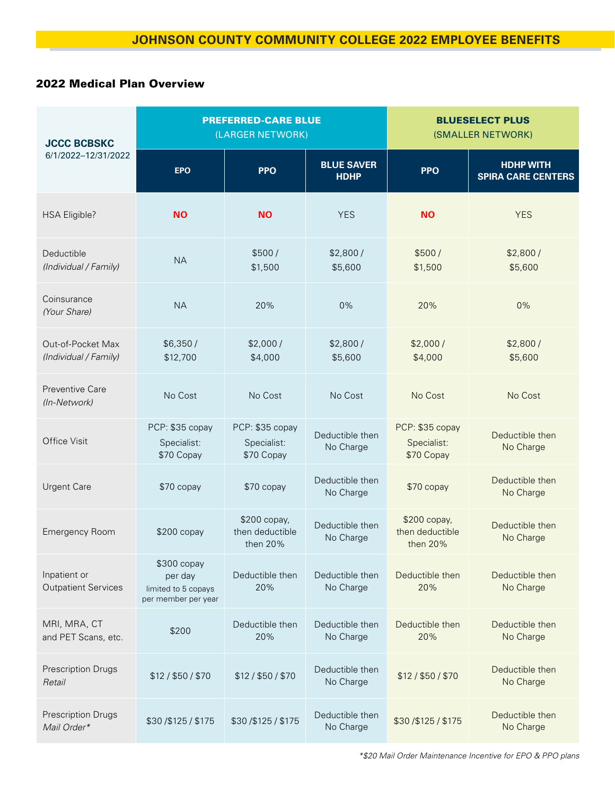# 2022 Medical Plan Overview

| <b>JCCC BCBSKC</b><br>6/1/2022-12/31/2022  | <b>PREFERRED-CARE BLUE</b><br>(LARGER NETWORK)                       |                                              |                                  | <b>BLUESELECT PLUS</b><br>(SMALLER NETWORK)  |                                               |
|--------------------------------------------|----------------------------------------------------------------------|----------------------------------------------|----------------------------------|----------------------------------------------|-----------------------------------------------|
|                                            | <b>EPO</b>                                                           | <b>PPO</b>                                   | <b>BLUE SAVER</b><br><b>HDHP</b> | <b>PPO</b>                                   | <b>HDHP WITH</b><br><b>SPIRA CARE CENTERS</b> |
| <b>HSA Eligible?</b>                       | <b>NO</b>                                                            | <b>NO</b>                                    | <b>YES</b>                       | <b>NO</b>                                    | <b>YES</b>                                    |
| Deductible<br>(Individual / Family)        | <b>NA</b>                                                            | \$500/<br>\$1,500                            | \$2,800/<br>\$5,600              | \$500/<br>\$1,500                            | \$2,800/<br>\$5,600                           |
| Coinsurance<br>(Your Share)                | <b>NA</b>                                                            | 20%                                          | 0%                               | 20%                                          | 0%                                            |
| Out-of-Pocket Max<br>(Individual / Family) | \$6,350/<br>\$12,700                                                 | \$2,000/<br>\$4,000                          | \$2,800/<br>\$5,600              | \$2,000/<br>\$4,000                          | \$2,800/<br>\$5,600                           |
| Preventive Care<br>(In-Network)            | No Cost                                                              | No Cost                                      | No Cost                          | No Cost                                      | No Cost                                       |
| <b>Office Visit</b>                        | PCP: \$35 copay<br>Specialist:<br>\$70 Copay                         | PCP: \$35 copay<br>Specialist:<br>\$70 Copay | Deductible then<br>No Charge     | PCP: \$35 copay<br>Specialist:<br>\$70 Copay | Deductible then<br>No Charge                  |
| <b>Urgent Care</b>                         | \$70 copay                                                           | \$70 copay                                   | Deductible then<br>No Charge     | \$70 copay                                   | Deductible then<br>No Charge                  |
| <b>Emergency Room</b>                      | $$200$ copay                                                         | \$200 copay,<br>then deductible<br>then 20%  | Deductible then<br>No Charge     | \$200 copay,<br>then deductible<br>then 20%  | Deductible then<br>No Charge                  |
| Inpatient or<br><b>Outpatient Services</b> | \$300 copay<br>per day<br>limited to 5 copays<br>per member per year | Deductible then<br>20%                       | Deductible then<br>No Charge     | Deductible then<br>20%                       | Deductible then<br>No Charge                  |
| MRI, MRA, CT<br>and PET Scans, etc.        | \$200                                                                | Deductible then<br>20%                       | Deductible then<br>No Charge     | Deductible then<br>20%                       | Deductible then<br>No Charge                  |
| Prescription Drugs<br>Retail               | \$12 / \$50 / \$70                                                   | \$12 / \$50 / \$70                           | Deductible then<br>No Charge     | \$12/\$50/\$70                               | Deductible then<br>No Charge                  |
| Prescription Drugs<br>Mail Order*          | \$30/\$125/\$175                                                     | \$30/\$125/\$175                             | Deductible then<br>No Charge     | \$30/\$125/\$175                             | Deductible then<br>No Charge                  |